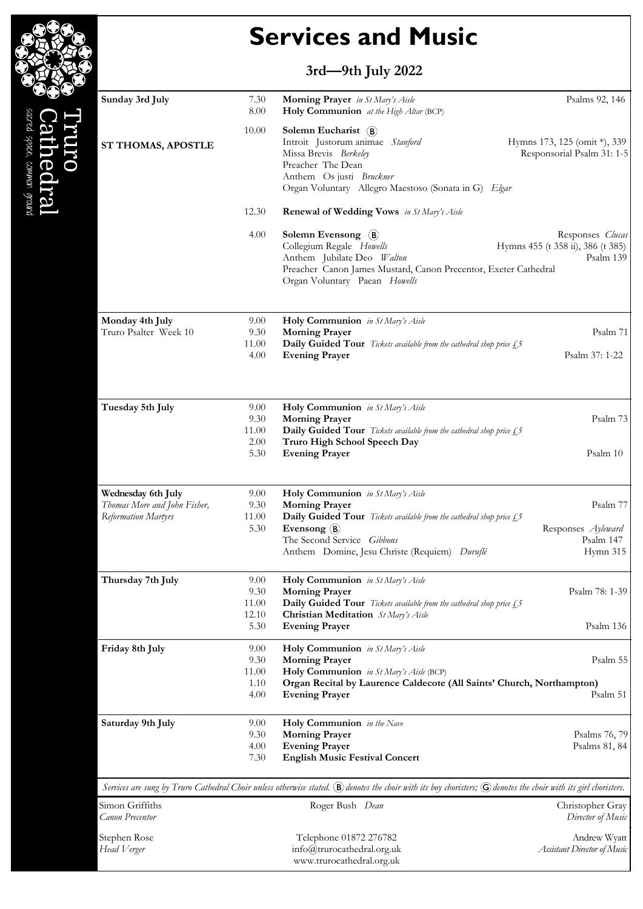# **Services and Music**

### **3rd—9th July 2022**

| Sunday 3rd July                                    | 7.30<br>8.00          | Morning Prayer in St Mary's Aisle<br>Holy Communion at the High Altar (BCP)                                                                                                                    | Psalms 92, 146                                                     |
|----------------------------------------------------|-----------------------|------------------------------------------------------------------------------------------------------------------------------------------------------------------------------------------------|--------------------------------------------------------------------|
| <b>ST THOMAS, APOSTLE</b>                          | 10.00                 | Solemn Eucharist (B)<br>Introit Justorum animae Stanford<br>Missa Brevis Berkeley<br>Preacher The Dean<br>Anthem Os justi Bruckner<br>Organ Voluntary Allegro Maestoso (Sonata in G) Elgar     | Hymns 173, 125 (omit *), 339<br>Responsorial Psalm 31: 1-5         |
|                                                    | 12.30                 | <b>Renewal of Wedding Vows</b> in St Mary's Aisle                                                                                                                                              |                                                                    |
|                                                    | 4.00                  | Solemn Evensong (B)<br>Collegium Regale Howells<br>Anthem Jubilate Deo Walton<br>Preacher Canon James Mustard, Canon Precentor, Exeter Cathedral<br>Organ Voluntary Paean Howells              | Responses Clucas<br>Hymns 455 (t 358 ii), 386 (t 385)<br>Psalm 139 |
| Monday 4th July                                    | 9.00                  | Holy Communion in St Mary's Aisle                                                                                                                                                              |                                                                    |
| Truro Psalter Week 10                              | 9.30<br>11.00<br>4.00 | <b>Morning Prayer</b><br>Daily Guided Tour Tickets available from the cathedral shop price £5<br><b>Evening Prayer</b>                                                                         | Psalm 71<br>Psalm 37: 1-22                                         |
|                                                    |                       |                                                                                                                                                                                                |                                                                    |
| Tuesday 5th July                                   | 9.00<br>9.30<br>11.00 | Holy Communion in St Mary's Aisle<br><b>Morning Prayer</b><br><b>Daily Guided Tour</b> Tickets available from the cathedral shop price $f_{\ell}$ , 5                                          | Psalm 73                                                           |
|                                                    | 2.00<br>5.30          | Truro High School Speech Day<br><b>Evening Prayer</b>                                                                                                                                          | Psalm 10                                                           |
| Wednesday 6th July<br>Thomas More and John Fisher, | 9.00<br>9.30          | Holy Communion in St Mary's Aisle<br><b>Morning Prayer</b><br><b>Daily Guided Tour</b> Tickets available from the cathedral shop price £,5                                                     | Psalm 77                                                           |
| Reformation Martyrs                                | 11.00<br>5.30         | Evensong (B)<br>The Second Service Gibbons<br>Anthem Domine, Jesu Christe (Requiem) Duruflé                                                                                                    | Responses Ayleward<br>Psalm 147<br>Hymn 315                        |
| Thursday 7th July                                  | 9.00<br>9.30          | Holy Communion in St Mary's Aisle<br><b>Morning Prayer</b>                                                                                                                                     | Psalm 78: 1-39                                                     |
|                                                    | 11.00<br>12.10        | Daily Guided Tour Tickets available from the cathedral shop price £5<br><b>Christian Meditation</b> St Mary's Aisle                                                                            |                                                                    |
|                                                    | 5.30                  | <b>Evening Prayer</b>                                                                                                                                                                          | Psalm 136                                                          |
| Friday 8th July                                    | 9.00<br>9.30          | Holy Communion in St Mary's Aisle<br><b>Morning Prayer</b>                                                                                                                                     | Psalm 55                                                           |
|                                                    | 11.00                 | Holy Communion in St Mary's Aisle (BCP)                                                                                                                                                        |                                                                    |
|                                                    | 1.10<br>4.00          | Organ Recital by Laurence Caldecote (All Saints' Church, Northampton)<br><b>Evening Prayer</b>                                                                                                 | Psalm 51                                                           |
| Saturday 9th July                                  | 9.00                  | Holy Communion in the Nave                                                                                                                                                                     |                                                                    |
|                                                    | 9.30<br>4.00          | <b>Morning Prayer</b><br><b>Evening Prayer</b>                                                                                                                                                 | Psalms 76, 79<br>Psalms 81, 84                                     |
|                                                    | 7.30                  | <b>English Music Festival Concert</b>                                                                                                                                                          |                                                                    |
|                                                    |                       | Services are sung by Truro Cathedral Choir unless otherwise stated. $\mathbf{\Theta}$ denotes the choir with its boy choristers; $\mathbf{\Theta}$ denotes the choir with its girl choristers. |                                                                    |
| Simon Griffiths<br><b>Canon Precentor</b>          |                       | Roger Bush Dean                                                                                                                                                                                | Christopher Gray<br>Director of Music                              |
| Stephen Rose<br>Head Verger                        |                       | Telephone 01872 276782<br>info@trurocathedral.org.uk                                                                                                                                           | Andrew Wyatt<br>Assistant Director of Music                        |

www.trurocathedral.org.uk

sacred space, common ground ГӨQ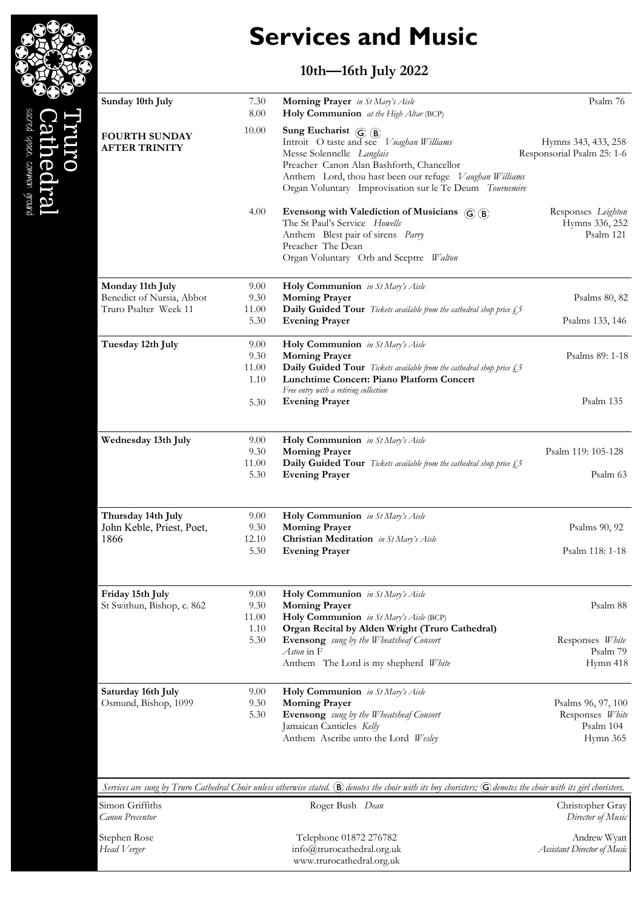

### **10th—16th July 2022**

| Sunday 10th July                                        | 7.30<br>8.00                          | Morning Prayer in St Mary's Aisle<br>Holy Communion at the High Altar (BCP)                                                                                                                                                                                                        | Psalm 76                                                       |
|---------------------------------------------------------|---------------------------------------|------------------------------------------------------------------------------------------------------------------------------------------------------------------------------------------------------------------------------------------------------------------------------------|----------------------------------------------------------------|
| <b>FOURTH SUNDAY</b><br><b>AFTER TRINITY</b>            | 10.00                                 | Sung Eucharist $\langle G \rangle$ (B)<br>Introit O taste and see Vuaghan Williams<br>Messe Solennelle Langlais<br>Preacher Canon Alan Bashforth, Chancellor<br>Anthem Lord, thou hast been our refuge Vaughan Williams<br>Organ Voluntary Improvisation sur le Te Deum Tournemire | Hymns 343, 433, 258<br>Responsorial Psalm 25: 1-6              |
|                                                         | 4.00                                  | Evensong with Valediction of Musicians $\langle G \rangle$ (B)<br>The St Paul's Service Howells<br>Anthem Blest pair of sirens Parry<br>Preacher The Dean<br>Organ Voluntary Orb and Sceptre Walton                                                                                | Responses Leighton<br>Hymns 336, 252<br>Psalm 121              |
| Monday 11th July<br>Benedict of Nursia, Abbot           | 9.00<br>9.30                          | Holy Communion in St Mary's Aisle<br><b>Morning Prayer</b>                                                                                                                                                                                                                         | Psalms 80, 82                                                  |
| Truro Psalter Week 11                                   | 11.00<br>5.30                         | Daily Guided Tour Tickets available from the cathedral shop price £,5<br><b>Evening Prayer</b>                                                                                                                                                                                     | Psalms 133, 146                                                |
| Tuesday 12th July                                       | 9.00<br>9.30<br>11.00<br>1.10         | Holy Communion in St Mary's Aisle<br><b>Morning Prayer</b><br>Daily Guided Tour Tickets available from the cathedral shop price £5<br><b>Lunchtime Concert: Piano Platform Concert</b>                                                                                             | Psalms 89: 1-18                                                |
|                                                         | 5.30                                  | Free entry with a retiring collection<br><b>Evening Prayer</b>                                                                                                                                                                                                                     | Psalm 135                                                      |
| Wednesday 13th July                                     | 9.00<br>9.30<br>11.00<br>5.30         | Holy Communion in St Mary's Aisle<br><b>Morning Prayer</b><br>Daily Guided Tour Tickets available from the cathedral shop price £5<br><b>Evening Prayer</b>                                                                                                                        | Psalm 119: 105-128<br>Psalm 63                                 |
| Thursday 14th July<br>John Keble, Priest, Poet,<br>1866 | 9.00<br>9.30<br>12.10<br>5.30         | Holy Communion in St Mary's Aisle<br><b>Morning Prayer</b><br><b>Christian Meditation</b> in St Mary's Aisle<br><b>Evening Prayer</b>                                                                                                                                              | Psalms 90, 92<br>Psalm 118: 1-18                               |
| Friday 15th July<br>St Swithun, Bishop, c. 862          | 9.00<br>9.30<br>11.00<br>1.10<br>5.30 | Holy Communion in St Mary's Aisle<br><b>Morning Prayer</b><br>Holy Communion in St Mary's Aisle (BCP)<br>Organ Recital by Alden Wright (Truro Cathedral)<br>Evensong sung by the Wheatsheaf Consort<br>Aston in F<br>Anthem The Lord is my shepherd White                          | Psalm 88<br>Responses White<br>Psalm 79<br>Hymn 418            |
| Saturday 16th July<br>Osmund, Bishop, 1099              | 9.00<br>9.30<br>5.30                  | Holy Communion in St Mary's Aisle<br><b>Morning Prayer</b><br>Evensong sung by the Wheatsheaf Consort<br>Jamaican Canticles Kelly<br>Anthem Ascribe unto the Lord Wesley                                                                                                           | Psalms 96, 97, 100<br>Responses White<br>Psalm 104<br>Hymn 365 |
|                                                         |                                       | Services are sung by Truro Cathedral Choir unless otherwise stated. $\mathbb B$ denotes the choir with its boy choristers; $\mathbb G$ denotes the choir with its girl choristers.                                                                                                 |                                                                |
| Simon Griffiths<br>Canon Precentor                      |                                       | Roger Bush Dean                                                                                                                                                                                                                                                                    | Christopher Gray<br>Director of Music                          |
| Stephen Rose<br>Head Verger                             |                                       | Telephone 01872 276782<br>info@trurocathedral.org.uk                                                                                                                                                                                                                               | Andrew Wyatt<br>Assistant Director of Music                    |

www.trurocathedral.org.uk



sacred space, common ground GO<br>O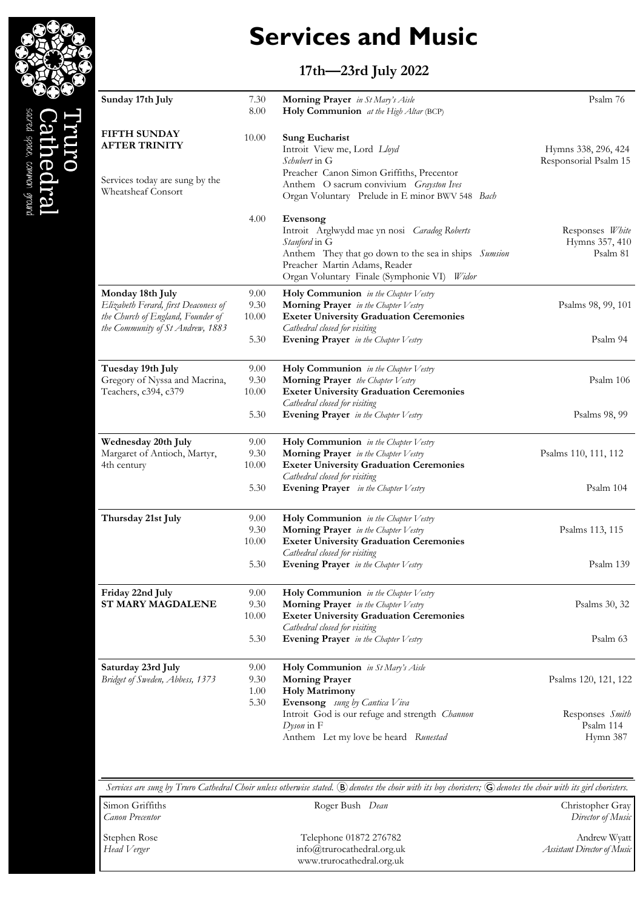

sacred space, common ground GO<br>O

## **Services and Music**

### **17th—23rd July 2022**

| Sunday 17th July                                                      | 7.30         | Morning Prayer in St Mary's Aisle                                                    | Psalm 76                   |
|-----------------------------------------------------------------------|--------------|--------------------------------------------------------------------------------------|----------------------------|
|                                                                       | 8.00         | Holy Communion at the High Altar (BCP)                                               |                            |
| <b>FIFTH SUNDAY</b>                                                   | 10.00        | <b>Sung Eucharist</b>                                                                |                            |
| <b>AFTER TRINITY</b>                                                  |              | Introit View me, Lord Lloyd                                                          | Hymns 338, 296, 424        |
|                                                                       |              | Schubert in G                                                                        | Responsorial Psalm 15      |
| Services today are sung by the                                        |              | Preacher Canon Simon Griffiths, Precentor<br>Anthem O sacrum convivium Grayston Ives |                            |
| Wheatsheaf Consort                                                    |              | Organ Voluntary Prelude in E minor BWV 548 Bach                                      |                            |
|                                                                       | 4.00         | Evensong                                                                             |                            |
|                                                                       |              | Introit Arglwydd mae yn nosi Caradog Roberts<br>Stanford in G                        | Responses White            |
|                                                                       |              | Anthem They that go down to the sea in ships Sumsion                                 | Hymns 357, 410<br>Psalm 81 |
|                                                                       |              | Preacher Martin Adams, Reader                                                        |                            |
|                                                                       |              | Organ Voluntary Finale (Symphonie VI) Widor                                          |                            |
| Monday 18th July                                                      | 9.00         | Holy Communion in the Chapter Vestry                                                 |                            |
| Elizabeth Ferard, first Deaconess of                                  | 9.30         | Morning Prayer in the Chapter Vestry                                                 | Psalms 98, 99, 101         |
| the Church of England, Founder of<br>the Community of St Andrew, 1883 | 10.00        | <b>Exeter University Graduation Ceremonies</b><br>Cathedral closed for visiting      |                            |
|                                                                       | 5.30         | Evening Prayer in the Chapter Vestry                                                 | Psalm 94                   |
|                                                                       |              |                                                                                      |                            |
| Tuesday 19th July                                                     | 9.00         | Holy Communion in the Chapter Vestry                                                 |                            |
| Gregory of Nyssa and Macrina,                                         | 9.30         | Morning Prayer the Chapter Vestry                                                    | Psalm 106                  |
| Teachers, c394, c379                                                  | 10.00        | <b>Exeter University Graduation Ceremonies</b><br>Cathedral closed for visiting      |                            |
|                                                                       | 5.30         | Evening Prayer in the Chapter Vestry                                                 | Psalms 98, 99              |
| Wednesday 20th July                                                   | 9.00         | Holy Communion in the Chapter Vestry                                                 |                            |
| Margaret of Antioch, Martyr,                                          | 9.30         | Morning Prayer in the Chapter Vestry                                                 | Psalms 110, 111, 112       |
| 4th century                                                           | 10.00        | <b>Exeter University Graduation Ceremonies</b>                                       |                            |
|                                                                       | 5.30         | Cathedral closed for visiting<br>Evening Prayer in the Chapter Vestry                | Psalm 104                  |
|                                                                       |              |                                                                                      |                            |
| Thursday 21st July                                                    | 9.00         | Holy Communion in the Chapter Vestry                                                 |                            |
|                                                                       | 9.30         | Morning Prayer in the Chapter Vestry                                                 | Psalms 113, 115            |
|                                                                       | 10.00        | <b>Exeter University Graduation Ceremonies</b><br>Cathedral closed for visiting      |                            |
|                                                                       | 5.30         | Evening Prayer in the Chapter Vestry                                                 | Psalm 139                  |
|                                                                       |              |                                                                                      |                            |
| Friday 22nd July                                                      | 9.00         | Holy Communion in the Chapter Vestry                                                 |                            |
| <b>ST MARY MAGDALENE</b>                                              | 9.30         | Morning Prayer in the Chapter Vestry                                                 | Psalms 30, 32              |
|                                                                       | 10.00        | <b>Exeter University Graduation Ceremonies</b><br>Cathedral closed for visiting      |                            |
|                                                                       | 5.30         | Evening Prayer in the Chapter Vestry                                                 | Psalm 63                   |
|                                                                       |              |                                                                                      |                            |
| Saturday 23rd July                                                    | 9.00         | Holy Communion in St Mary's Aisle                                                    |                            |
| Bridget of Sweden, Abbess, 1373                                       | 9.30<br>1.00 | <b>Morning Prayer</b><br><b>Holy Matrimony</b>                                       | Psalms 120, 121, 122       |
|                                                                       | 5.30         | Evensong sung by Cantica Viva                                                        |                            |
|                                                                       |              | Introit God is our refuge and strength Channon                                       | Responses Smith            |
|                                                                       |              | Dyson in F                                                                           | Psalm 114                  |
|                                                                       |              | Anthem Let my love be heard Runestad                                                 | Hymn 387                   |

Services are sung by Truro Cathedral Choir unless otherwise stated.  $\mathbb B$  denotes the choir with its boy choristers;  $\mathbb G$  denotes the choir with its girl choristers.

| Simon Griffiths<br><b>Canon Precentor</b> | Roger Bush Dean              | Christopher Gray<br>Director of Music |
|-------------------------------------------|------------------------------|---------------------------------------|
| Stephen Rose                              | Telephone 01872 276782       | Andrew Wyatt                          |
| Head Verger                               | $info@true$ cathedral.org.uk | Assistant Director of Music           |
|                                           | www.trurocathedral.org.uk    |                                       |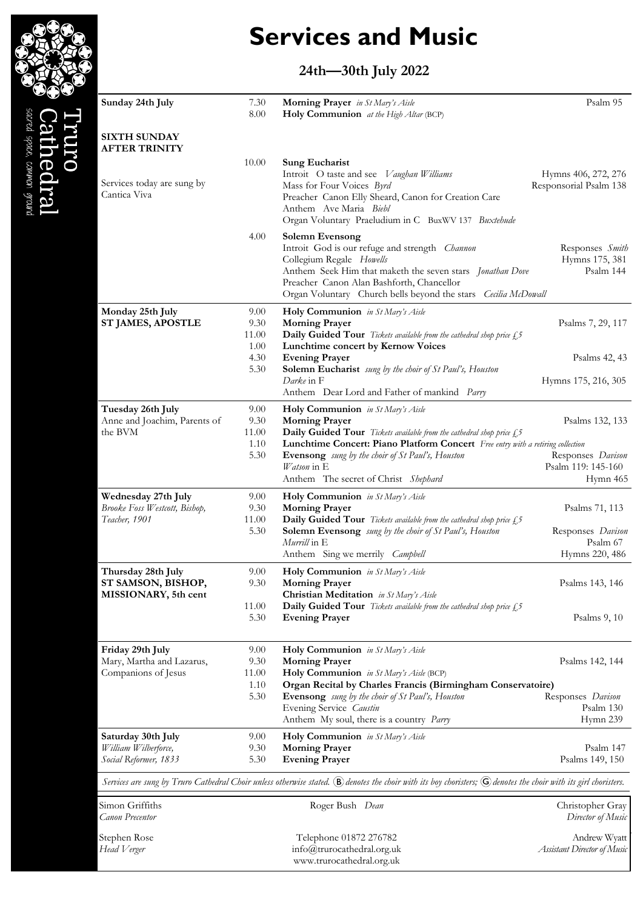

sacred space, common ground **1edi** 

## **Services and Music**

### **24th—30th July 2022**

| Sunday 24th July                               | 7.30          | Morning Prayer in St Mary's Aisle                                                                                                                                  | Psalm 95                              |
|------------------------------------------------|---------------|--------------------------------------------------------------------------------------------------------------------------------------------------------------------|---------------------------------------|
|                                                | 8.00          | Holy Communion at the High Altar (BCP)                                                                                                                             |                                       |
| <b>SIXTH SUNDAY</b>                            |               |                                                                                                                                                                    |                                       |
| <b>AFTER TRINITY</b>                           |               |                                                                                                                                                                    |                                       |
|                                                | 10.00         | <b>Sung Eucharist</b><br>Introit O taste and see Vaughan Williams                                                                                                  | Hymns 406, 272, 276                   |
| Services today are sung by                     |               | Mass for Four Voices Byrd                                                                                                                                          | Responsorial Psalm 138                |
| Cantica Viva                                   |               | Preacher Canon Elly Sheard, Canon for Creation Care                                                                                                                |                                       |
|                                                |               | Anthem Ave Maria Biebl                                                                                                                                             |                                       |
|                                                |               | Organ Voluntary Praeludium in C BuxWV 137 Buxtehude                                                                                                                |                                       |
|                                                | 4.00          | <b>Solemn Evensong</b>                                                                                                                                             |                                       |
|                                                |               | Introit God is our refuge and strength Channon<br>Collegium Regale Howells                                                                                         | Responses Smith<br>Hymns 175, 381     |
|                                                |               | Anthem Seek Him that maketh the seven stars <i>Jonathan Dove</i>                                                                                                   | Psalm 144                             |
|                                                |               | Preacher Canon Alan Bashforth, Chancellor                                                                                                                          |                                       |
|                                                |               | Organ Voluntary Church bells beyond the stars Cecilia McDowall                                                                                                     |                                       |
| Monday 25th July                               | 9.00          | Holy Communion in St Mary's Aisle                                                                                                                                  |                                       |
| <b>ST JAMES, APOSTLE</b>                       | 9.30          | <b>Morning Prayer</b>                                                                                                                                              | Psalms 7, 29, 117                     |
|                                                | 11.00<br>1.00 | <b>Daily Guided Tour</b> Tickets available from the cathedral shop price $f_{\ell}$ , 5<br>Lunchtime concert by Kernow Voices                                      |                                       |
|                                                | 4.30          | <b>Evening Prayer</b>                                                                                                                                              | Psalms 42, 43                         |
|                                                | 5.30          | Solemn Eucharist sung by the choir of St Paul's, Houston                                                                                                           |                                       |
|                                                |               | Darke in F                                                                                                                                                         | Hymns 175, 216, 305                   |
|                                                |               | Anthem Dear Lord and Father of mankind Parry                                                                                                                       |                                       |
| Tuesday 26th July                              | 9.00          | Holy Communion in St Mary's Aisle                                                                                                                                  |                                       |
| Anne and Joachim, Parents of<br>the BVM        | 9.30<br>11.00 | <b>Morning Prayer</b><br><b>Daily Guided Tour</b> Tickets available from the cathedral shop price £5                                                               | Psalms 132, 133                       |
|                                                | 1.10          | Lunchtime Concert: Piano Platform Concert Free entry with a retiring collection                                                                                    |                                       |
|                                                | 5.30          | Evensong sung by the choir of St Paul's, Houston                                                                                                                   | Responses Davison                     |
|                                                |               | Watson in E                                                                                                                                                        | Psalm 119: 145-160                    |
|                                                |               | Anthem The secret of Christ Shephard                                                                                                                               | Hymn 465                              |
| Wednesday 27th July                            | 9.00          | Holy Communion in St Mary's Aisle                                                                                                                                  |                                       |
| Brooke Foss Westcott, Bishop,<br>Teacher, 1901 | 9.30<br>11.00 | <b>Morning Prayer</b><br><b>Daily Guided Tour</b> Tickets available from the cathedral shop price $\frac{1}{2}$ 5                                                  | Psalms 71, 113                        |
|                                                | 5.30          | Solemn Evensong sung by the choir of St Paul's, Houston                                                                                                            | Responses Davison                     |
|                                                |               | Murrill in E                                                                                                                                                       | Psalm 67                              |
|                                                |               | Anthem Sing we merrily Campbell                                                                                                                                    | Hymns 220, 486                        |
| Thursday 28th July                             | $9.00\,$      | Holy Communion in St Mary's Aisle                                                                                                                                  |                                       |
| ST SAMSON, BISHOP,                             | 9.30          | <b>Morning Prayer</b>                                                                                                                                              | Psalms 143, 146                       |
| MISSIONARY, 5th cent                           | 11.00         | <b>Christian Meditation</b> in St Mary's Aisle<br><b>Daily Guided Tour</b> Tickets available from the cathedral shop price $\mathcal{L}^5$                         |                                       |
|                                                | 5.30          | <b>Evening Prayer</b>                                                                                                                                              | Psalms $9, 10$                        |
|                                                |               |                                                                                                                                                                    |                                       |
| Friday 29th July                               | 9.00          | Holy Communion in St Mary's Aisle                                                                                                                                  |                                       |
| Mary, Martha and Lazarus,                      | 9.30          | <b>Morning Prayer</b>                                                                                                                                              | Psalms 142, 144                       |
| Companions of Jesus                            | 11.00         | Holy Communion in St Mary's Aisle (BCP)                                                                                                                            |                                       |
|                                                | 1.10          | Organ Recital by Charles Francis (Birmingham Conservatoire)                                                                                                        |                                       |
|                                                | 5.30          | <b>Evensong</b> sung by the choir of St Paul's, Houston<br>Evening Service Caustin                                                                                 | Responses Davison<br>Psalm 130        |
|                                                |               | Anthem My soul, there is a country Parry                                                                                                                           | Hymn 239                              |
| Saturday 30th July                             | 9.00          | Holy Communion in St Mary's Aisle                                                                                                                                  |                                       |
| William Wilberforce,                           | 9.30          | <b>Morning Prayer</b>                                                                                                                                              | Psalm 147                             |
| Social Reformer, 1833                          | 5.30          | <b>Evening Prayer</b>                                                                                                                                              | Psalms 149, 150                       |
|                                                |               | Services are sung by Truro Cathedral Choir unless otherwise stated. (B) denotes the choir with its boy choristers; (G) denotes the choir with its girl choristers. |                                       |
| Simon Griffiths<br><b>Canon Precentor</b>      |               | Roger Bush Dean                                                                                                                                                    | Christopher Gray<br>Director of Music |
| Stephen Rose                                   |               | Telephone 01872 276782                                                                                                                                             | Andrew Wyatt                          |

Stephen Rose *Head Verger*

Telephone 01872 276782 info@trurocathedral.org.uk www.trurocathedral.org.uk

Andrew Wyatt *Assistant Director of Music*